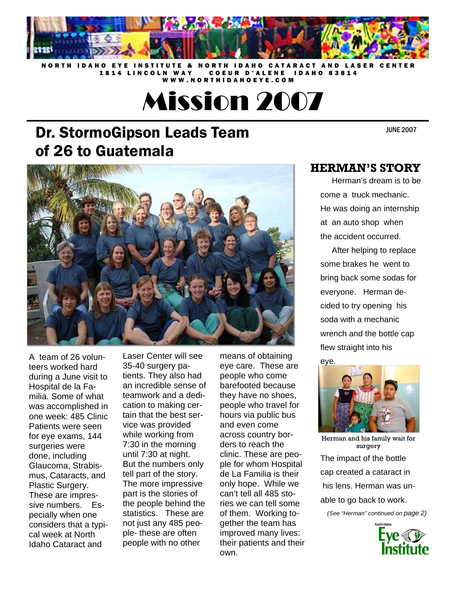

NORTH IDAHO EYE INSTITUTE & NORTH IDAHO CATARACT AND LASER CENTER 1814 LINCOLN WAY COEUR D'ALENE IDAHO 83814 WWW.NORTHIDAHOEYE.COM

Mission 2007

# Dr. StormoGipson Leads Team of 26 to Guatemala

JUNE 2007



A team of 26 volunteers worked hard during a June visit to Hospital de la Familia. Some of what was accomplished in one week: 485 Clinic Patients were seen for eye exams, 144 surgeries were done, including Glaucoma, Strabismus, Cataracts, and Plastic Surgery. These are impressive numbers. Especially when one considers that a typical week at North Idaho Cataract and

Laser Center will see 35-40 surgery patients. They also had an incredible sense of teamwork and a dedication to making certain that the best service was provided while working from 7:30 in the morning until 7:30 at night. But the numbers only tell part of the story. The more impressive part is the stories of the people behind the statistics. These are not just any 485 people- these are often people with no other

means of obtaining eye care. These are people who come barefooted because they have no shoes, people who travel for hours via public bus and even come across country borders to reach the clinic. These are people for whom Hospital de La Familia is their only hope. While we can't tell all 485 stories we can tell some of them. Working together the team has improved many lives: their patients and their own.

#### **HERMAN'S STORY**

 Herman's dream is to be come a truck mechanic. He was doing an internship at an auto shop when the accident occurred.

 After helping to replace some brakes he went to bring back some sodas for everyone. Herman decided to try opening his soda with a mechanic wrench and the bottle cap flew straight into his



Herman and his family wait for surgery

The impact of the bottle cap created a cataract in his lens. Herman was unable to go back to work.

*(See "Herman" continued on page 2)* 

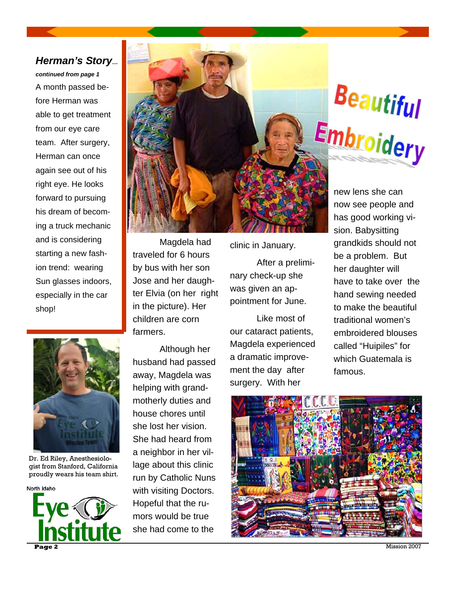#### *Herman's Story…*

*continued from page 1* A month passed before Herman was able to get treatment from our eye care team. After surgery, Herman can once again see out of his right eye. He looks forward to pursuing his dream of becoming a truck mechanic and is considering starting a new fashion trend: wearing Sun glasses indoors, especially in the car shop!



Dr. Ed Riley, Anesthesiologist from Stanford, California proudly wears his team shirt.





 Magdela had traveled for 6 hours by bus with her son Jose and her daughter Elvia (on her right in the picture). Her children are corn farmers.

 Although her husband had passed away, Magdela was helping with grandmotherly duties and house chores until she lost her vision. She had heard from a neighbor in her village about this clinic run by Catholic Nuns with visiting Doctors. Hopeful that the rumors would be true she had come to the

clinic in January.

 After a preliminary check-up she was given an appointment for June.

 Like most of our cataract patients, Magdela experienced a dramatic improvement the day after surgery. With her



new lens she can now see people and has good working vision. Babysitting grandkids should not be a problem. But her daughter will have to take over the hand sewing needed to make the beautiful traditional women's embroidered blouses called "Huipiles" for which Guatemala is famous.

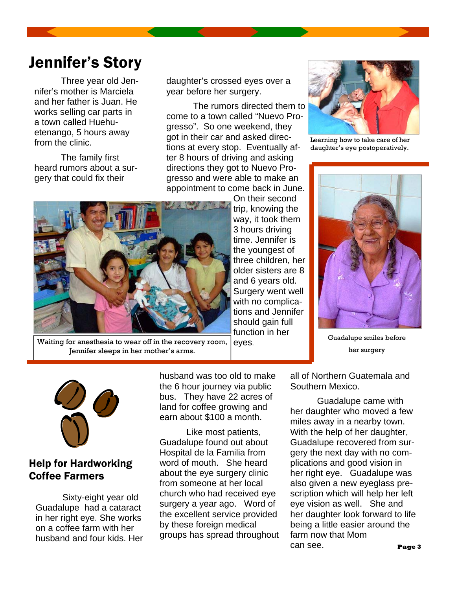# Jennifer's Story

 Three year old Jennifer's mother is Marciela and her father is Juan. He works selling car parts in a town called Huehuetenango, 5 hours away from the clinic.

 The family first heard rumors about a surgery that could fix their

daughter's crossed eyes over a year before her surgery.

 The rumors directed them to come to a town called "Nuevo Progresso". So one weekend, they got in their car and asked directions at every stop. Eventually after 8 hours of driving and asking directions they got to Nuevo Progresso and were able to make an appointment to come back in June.



eyes. Waiting for anesthesia to wear off in the recovery room, Jennifer sleeps in her mother's arms.

On their second trip, knowing the way, it took them 3 hours driving time. Jennifer is the youngest of three children, her older sisters are 8 and 6 years old. Surgery went well with no complications and Jennifer should gain full function in her



Learning how to take care of her daughter's eye postoperatively.



Guadalupe smiles before her surgery



### Help for Hardworking Coffee Farmers

 Sixty-eight year old Guadalupe had a cataract in her right eye. She works on a coffee farm with her husband and four kids. Her husband was too old to make the 6 hour journey via public bus. They have 22 acres of land for coffee growing and earn about \$100 a month.

 Like most patients, Guadalupe found out about Hospital de la Familia from word of mouth. She heard about the eye surgery clinic from someone at her local church who had received eye surgery a year ago. Word of the excellent service provided by these foreign medical groups has spread throughout all of Northern Guatemala and Southern Mexico.

 Guadalupe came with her daughter who moved a few miles away in a nearby town. With the help of her daughter, Guadalupe recovered from surgery the next day with no complications and good vision in her right eye. Guadalupe was also given a new eyeglass prescription which will help her left eye vision as well. She and her daughter look forward to life being a little easier around the farm now that Mom can see. **Page 3**